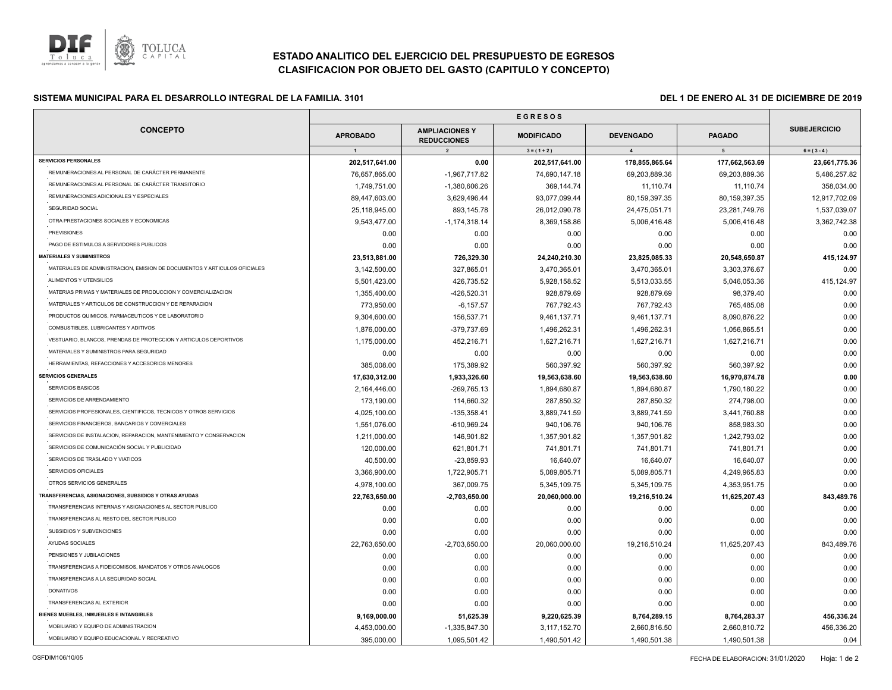

# **ESTADO ANALITICO DEL EJERCICIO DEL PRESUPUESTO DE EGRESOS CLASIFICACION POR OBJETO DEL GASTO (CAPITULO Y CONCEPTO)**

## **E SISTEMA MUNICIPAL PARA EL DESARROLLO INTEGRAL DE LA FAMILIA. 3101 DEL 1 DE ENERO AL 31 DE DICIEMBRE DE 2019**

| <b>CONCEPTO</b>                                                           | <b>APROBADO</b> | <b>AMPLIACIONES Y</b><br><b>REDUCCIONES</b> | <b>MODIFICADO</b> | <b>DEVENGADO</b> | <b>PAGADO</b>   | <b>SUBEJERCICIO</b> |
|---------------------------------------------------------------------------|-----------------|---------------------------------------------|-------------------|------------------|-----------------|---------------------|
|                                                                           | $\mathbf{1}$    | $\overline{2}$                              | $3 = (1 + 2)$     | $\overline{4}$   | $5\overline{ }$ | $6 = (3 - 4)$       |
| <b>SERVICIOS PERSONALES</b>                                               | 202,517,641.00  | 0.00                                        | 202,517,641.00    | 178,855,865.64   | 177,662,563.69  | 23,661,775.36       |
| REMUNERACIONES AL PERSONAL DE CARÁCTER PERMANENTE                         | 76,657,865.00   | $-1,967,717.82$                             | 74,690,147.18     | 69,203,889.36    | 69,203,889.36   | 5,486,257.82        |
| REMUNERACIONES AL PERSONAL DE CARÁCTER TRANSITORIO                        | 1,749,751.00    | $-1,380,606.26$                             | 369,144.74        | 11,110.74        | 11,110.74       | 358,034.00          |
| REMUNERACIONES ADICIONALES Y ESPECIALES                                   | 89,447,603.00   | 3,629,496.44                                | 93,077,099.44     | 80,159,397.35    | 80,159,397.35   | 12,917,702.09       |
| SEGURIDAD SOCIAL                                                          | 25,118,945.00   | 893,145.78                                  | 26,012,090.78     | 24,475,051.71    | 23,281,749.76   | 1,537,039.07        |
| OTRA PRESTACIONES SOCIALES Y ECONOMICAS                                   | 9,543,477.00    | $-1, 174, 318.14$                           | 8,369,158.86      | 5,006,416.48     | 5,006,416.48    | 3,362,742.38        |
| <b>PREVISIONES</b>                                                        | 0.00            | 0.00                                        | 0.00              | 0.00             | 0.00            | 0.00                |
| PAGO DE ESTIMULOS A SERVIDORES PUBLICOS                                   | 0.00            | 0.00                                        | 0.00              | 0.00             | 0.00            | 0.00                |
| <b>MATERIALES Y SUMINISTROS</b>                                           | 23,513,881.00   | 726,329.30                                  | 24,240,210.30     | 23,825,085.33    | 20,548,650.87   | 415,124.97          |
| MATERIALES DE ADMINISTRACION, EMISION DE DOCUMENTOS Y ARTICULOS OFICIALES | 3,142,500.00    | 327,865.01                                  | 3,470,365.01      | 3,470,365.01     | 3,303,376.67    | 0.00                |
| ALIMENTOS Y UTENSILIOS                                                    | 5,501,423.00    | 426,735.52                                  | 5,928,158.52      | 5,513,033.55     | 5,046,053.36    | 415,124.97          |
| MATERIAS PRIMAS Y MATERIALES DE PRODUCCION Y COMERCIALIZACION             | 1,355,400.00    | -426,520.31                                 | 928,879.69        | 928,879.69       | 98,379.40       | 0.00                |
| MATERIALES Y ARTICULOS DE CONSTRUCCION Y DE REPARACION                    | 773,950.00      | $-6, 157.57$                                | 767,792.43        | 767,792.43       | 765,485.08      | 0.00                |
| PRODUCTOS QUIMICOS, FARMACEUTICOS Y DE LABORATORIO                        | 9,304,600.00    | 156,537.71                                  | 9,461,137.71      | 9,461,137.71     | 8,090,876.22    | 0.00                |
| COMBUSTIBLES, LUBRICANTES Y ADITIVOS                                      | 1,876,000.00    | -379,737.69                                 | 1,496,262.31      | 1,496,262.31     | 1,056,865.51    | 0.00                |
| VESTUARIO, BLANCOS, PRENDAS DE PROTECCION Y ARTICULOS DEPORTIVOS          | 1,175,000.00    | 452,216.71                                  | 1,627,216.71      | 1,627,216.71     | 1,627,216.71    | 0.00                |
| MATERIALES Y SUMINISTROS PARA SEGURIDAD                                   | 0.00            | 0.00                                        | 0.00              | 0.00             | 0.00            | 0.00                |
| HERRAMIENTAS, REFACCIONES Y ACCESORIOS MENORES                            | 385,008.00      | 175,389.92                                  | 560,397.92        | 560,397.92       | 560,397.92      | 0.00                |
| <b>SERVICIOS GENERALES</b>                                                | 17,630,312.00   | 1,933,326.60                                | 19,563,638.60     | 19,563,638.60    | 16,970,874.78   | 0.00                |
| SERVICIOS BASICOS                                                         | 2,164,446.00    | -269,765.13                                 | 1,894,680.87      | 1,894,680.87     | 1,790,180.22    | 0.00                |
| SERVICIOS DE ARRENDAMIENTO                                                | 173,190.00      | 114,660.32                                  | 287,850.32        | 287,850.32       | 274,798.00      | 0.00                |
| SERVICIOS PROFESIONALES, CIENTIFICOS, TECNICOS Y OTROS SERVICIOS          | 4,025,100.00    | $-135,358.41$                               | 3,889,741.59      | 3,889,741.59     | 3,441,760.88    | 0.00                |
| SERVICIOS FINANCIEROS, BANCARIOS Y COMERCIALES                            | 1,551,076.00    | $-610,969.24$                               | 940,106.76        | 940,106.76       | 858,983.30      | 0.00                |
| SERVICIOS DE INSTALACION, REPARACION, MANTENIMIENTO Y CONSERVACION        | 1,211,000.00    | 146,901.82                                  | 1,357,901.82      | 1,357,901.82     | 1,242,793.02    | 0.00                |
| SERVICIOS DE COMUNICACIÓN SOCIAL Y PUBLICIDAD                             | 120,000.00      | 621,801.71                                  | 741,801.71        | 741,801.71       | 741,801.71      | 0.00                |
| SERVICIOS DE TRASLADO Y VIATICOS                                          | 40,500.00       | $-23,859.93$                                | 16,640.07         | 16,640.07        | 16,640.07       | 0.00                |
| SERVICIOS OFICIALES                                                       | 3,366,900.00    | 1,722,905.71                                | 5,089,805.71      | 5,089,805.71     | 4,249,965.83    | 0.00                |
| OTROS SERVICIOS GENERALES                                                 | 4,978,100.00    | 367,009.75                                  | 5,345,109.75      | 5,345,109.75     | 4,353,951.75    | 0.00                |
| TRANSFERENCIAS, ASIGNACIONES, SUBSIDIOS Y OTRAS AYUDAS                    | 22,763,650.00   | -2,703,650.00                               | 20,060,000.00     | 19,216,510.24    | 11,625,207.43   | 843,489.76          |
| TRANSFERENCIAS INTERNAS Y ASIGNACIONES AL SECTOR PUBLICO                  | 0.00            | 0.00                                        | 0.00              | 0.00             | 0.00            | 0.00                |
| TRANSFERENCIAS AL RESTO DEL SECTOR PUBLICO                                | 0.00            | 0.00                                        | 0.00              | 0.00             | 0.00            | 0.00                |
| SUBSIDIOS Y SUBVENCIONES                                                  | 0.00            | 0.00                                        | 0.00              | 0.00             | 0.00            | 0.00                |
| AYUDAS SOCIALES                                                           | 22,763,650.00   | $-2,703,650.00$                             | 20,060,000.00     | 19,216,510.24    | 11,625,207.43   | 843,489.76          |
| PENSIONES Y JUBILACIONES                                                  | 0.00            | 0.00                                        | 0.00              | 0.00             | 0.00            | 0.00                |
| TRANSFERENCIAS A FIDEICOMISOS, MANDATOS Y OTROS ANALOGOS                  | 0.00            | 0.00                                        | 0.00              | 0.00             | 0.00            | 0.00                |
| TRANSFERENCIAS A LA SEGURIDAD SOCIAL                                      | 0.00            | 0.00                                        | 0.00              | 0.00             | 0.00            | 0.00                |
| <b>DONATIVOS</b>                                                          | 0.00            | 0.00                                        | 0.00              | 0.00             | 0.00            | 0.00                |
| TRANSFERENCIAS AL EXTERIOR                                                | 0.00            | 0.00                                        | 0.00              | 0.00             | 0.00            | 0.00                |
| BIENES MUEBLES, INMUEBLES E INTANGIBLES                                   | 9,169,000.00    | 51,625.39                                   | 9,220,625.39      | 8,764,289.15     | 8,764,283.37    | 456,336.24          |
| MOBILIARIO Y EQUIPO DE ADMINISTRACION                                     | 4,453,000.00    | $-1,335,847.30$                             | 3,117,152.70      | 2,660,816.50     | 2,660,810.72    | 456,336.20          |
| MOBILIARIO Y EQUIPO EDUCACIONAL Y RECREATIVO                              | 395,000.00      | 1,095,501.42                                | 1,490,501.42      | 1,490,501.38     | 1,490,501.38    | 0.04                |